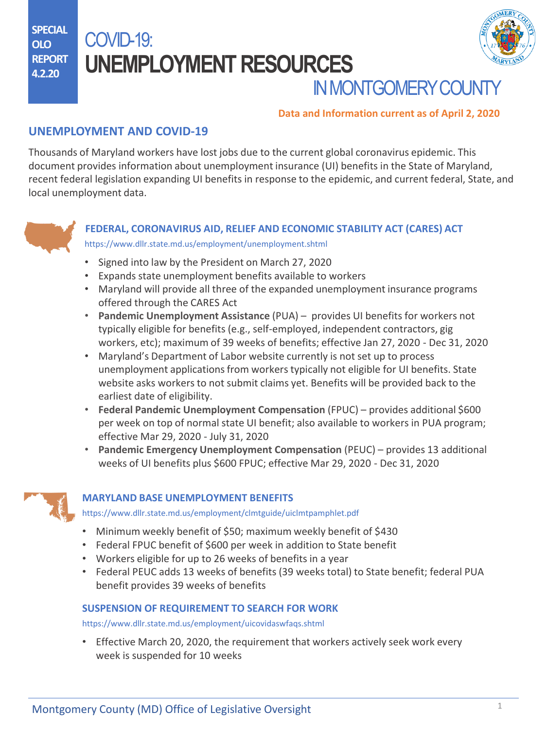**SPECIAL OLO REPORT 4.2.20**

# COVID-19: **UNEMPLOYMENT RESOURCES**



## **IN MONTGOMERY COUNT**

### **Data and Information current as of April 2, 2020**

## **UNEMPLOYMENT AND COVID-19**

Thousands of Maryland workers have lost jobs due to the current global coronavirus epidemic. This document provides information about unemployment insurance (UI) benefits in the State of Maryland, recent federal legislation expanding UI benefits in response to the epidemic, and current federal, State, and local unemployment data.



### **FEDERAL, CORONAVIRUS AID, RELIEF AND ECONOMIC STABILITY ACT (CARES) ACT** <https://www.dllr.state.md.us/employment/unemployment.shtml>

- Signed into law by the President on March 27, 2020
- Expands state unemployment benefits available to workers
- Maryland will provide all three of the expanded unemployment insurance programs offered through the CARES Act
- **Pandemic Unemployment Assistance** (PUA) provides UI benefits for workers not typically eligible for benefits (e.g., self-employed, independent contractors, gig workers, etc); maximum of 39 weeks of benefits; effective Jan 27, 2020 - Dec 31, 2020
- Maryland's Department of Labor website currently is not set up to process unemployment applications from workers typically not eligible for UI benefits. State website asks workers to not submit claims yet. Benefits will be provided back to the earliest date of eligibility.
- **Federal Pandemic Unemployment Compensation** (FPUC) provides additional \$600 per week on top of normal state UI benefit; also available to workers in PUA program; effective Mar 29, 2020 - July 31, 2020
- **Pandemic Emergency Unemployment Compensation** (PEUC) provides 13 additional weeks of UI benefits plus \$600 FPUC; effective Mar 29, 2020 - Dec 31, 2020



### **MARYLAND BASE UNEMPLOYMENT BENEFITS**

<https://www.dllr.state.md.us/employment/clmtguide/uiclmtpamphlet.pdf>

- Minimum weekly benefit of \$50; maximum weekly benefit of \$430
- Federal FPUC benefit of \$600 per week in addition to State benefit
- Workers eligible for up to 26 weeks of benefits in a year
- Federal PEUC adds 13 weeks of benefits (39 weeks total) to State benefit; federal PUA benefit provides 39 weeks of benefits

### **SUSPENSION OF REQUIREMENT TO SEARCH FOR WORK**

<https://www.dllr.state.md.us/employment/uicovidaswfaqs.shtml>

• Effective March 20, 2020, the requirement that workers actively seek work every week is suspended for 10 weeks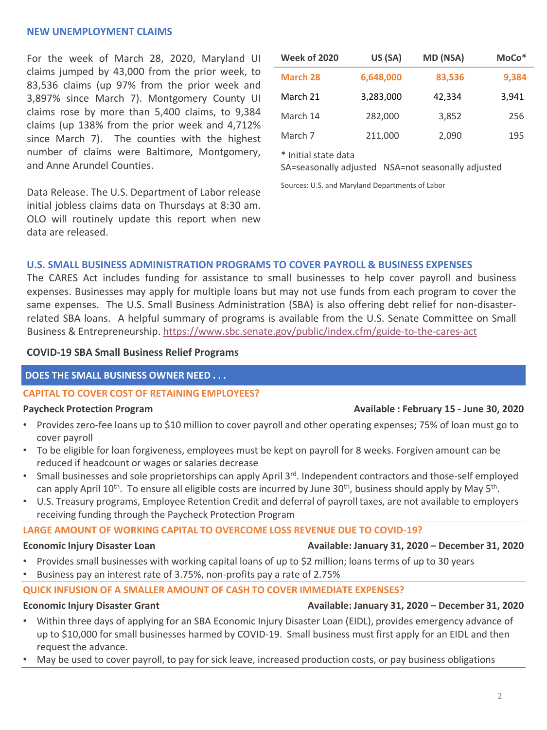### **NEW UNEMPLOYMENT CLAIMS**

For the week of March 28, 2020, Maryland UI claims jumped by 43,000 from the prior week, to 83,536 claims (up 97% from the prior week and 3,897% since March 7). Montgomery County UI claims rose by more than 5,400 claims, to 9,384 claims (up 138% from the prior week and 4,712% since March 7). The counties with the highest number of claims were Baltimore, Montgomery, and Anne Arundel Counties.

Data Release. The U.S. Department of Labor release initial jobless claims data on Thursdays at 8:30 am. OLO will routinely update this report when new data are released.

| <b>Week of 2020</b> | US (SA)   | MD (NSA) | $MoCo*$ |
|---------------------|-----------|----------|---------|
| March 28            | 6,648,000 | 83,536   | 9,384   |
| March 21            | 3,283,000 | 42,334   | 3,941   |
| March 14            | 282,000   | 3,852    | 256     |
| March 7             | 211,000   | 2,090    | 195     |

\* Initial state data

SA=seasonally adjusted NSA=not seasonally adjusted

Sources: U.S. and Maryland Departments of Labor

### **U.S. SMALL BUSINESS ADMINISTRATION PROGRAMS TO COVER PAYROLL & BUSINESS EXPENSES**

The CARES Act includes funding for assistance to small businesses to help cover payroll and business expenses. Businesses may apply for multiple loans but may not use funds from each program to cover the same expenses. The U.S. Small Business Administration (SBA) is also offering debt relief for non-disasterrelated SBA loans. A helpful summary of programs is available from the U.S. Senate Committee on Small Business & Entrepreneurship. <https://www.sbc.senate.gov/public/index.cfm/guide-to-the-cares-act>

### **COVID-19 SBA Small Business Relief Programs**

### **DOES THE SMALL BUSINESS OWNER NEED . . .**

### **CAPITAL TO COVER COST OF RETAINING EMPLOYEES?**

- Provides zero-fee loans up to \$10 million to cover payroll and other operating expenses; 75% of loan must go to cover payroll
- To be eligible for loan forgiveness, employees must be kept on payroll for 8 weeks. Forgiven amount can be reduced if headcount or wages or salaries decrease
- Small businesses and sole proprietorships can apply April 3<sup>rd</sup>. Independent contractors and those-self employed can apply April 10<sup>th</sup>. To ensure all eligible costs are incurred by June 30<sup>th</sup>, business should apply by May 5<sup>th</sup>.
- U.S. Treasury programs, Employee Retention Credit and deferral of payroll taxes, are not available to employers receiving funding through the Paycheck Protection Program

### **LARGE AMOUNT OF WORKING CAPITAL TO OVERCOME LOSS REVENUE DUE TO COVID-19?**

### **[Economic Injury Disaster Loan Availab](https://www.speaker.gov/sites/speaker.house.gov/files/COVID%20TOOLKIT%203.30.20.pdf)le: January 31, 2020 – December 31, 2020**

- Provides small businesses with working capital loans of up to \$2 million; loans terms of up to 30 years
- Business pay an interest rate of 3.75%, non-profits pay a rate of 2.75%

### **[QUICK INFUSION OF A SMALLER AMOUNT OF CASH TO COVER I](https://waysandmeans.house.gov/sites/democrats.waysandmeans.house.gov/files/documents/UC%20FAQ%20CARES%20Act.pdf)MMEDIATE EXPENSES?**

### **Economic Injury Disaster Grant Available: January 31, 2020 – December 31, 2020**

- Within three days of applying for an SBA Economic Injury Disaster Loan (EIDL), provides emergency advance of up to \$10,000 for small businesses harmed by COVID-19. Small business must first apply for an EIDL and then request the advance.
- [May be used to cover payroll, to pay for sick le](https://www.dllr.state.md.us/employment/uicovidfaqs.shtml)ave, increased production costs, or pay business obligations

### **Paycheck Protection Program Available : February 15 - June 30, 2020**